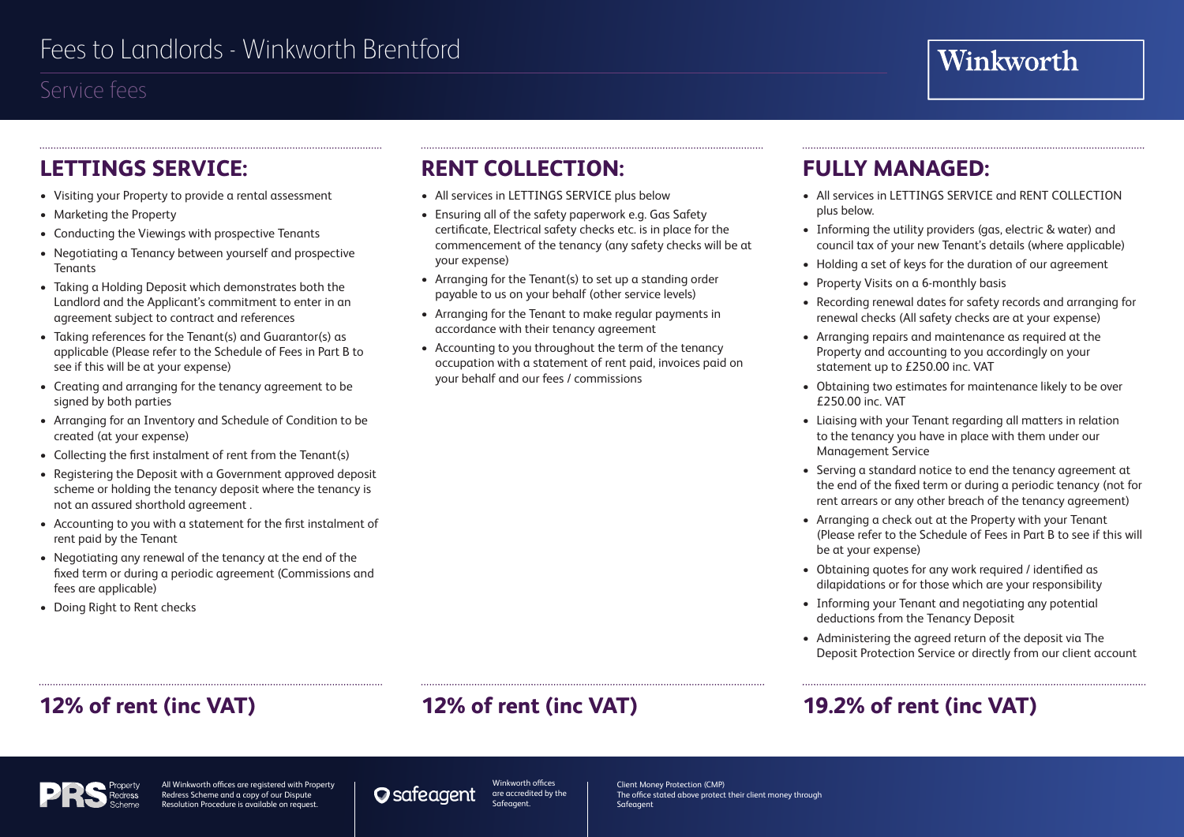### Service fees

### **LETTINGS SERVICE:**

- Visiting your Property to provide a rental assessment
- Marketing the Property
- Conducting the Viewings with prospective Tenants
- Negotiating a Tenancy between yourself and prospective **Tenants**
- Taking a Holding Deposit which demonstrates both the Landlord and the Applicant's commitment to enter in an agreement subject to contract and references
- Taking references for the Tenant(s) and Guarantor(s) as applicable (Please refer to the Schedule of Fees in Part B to see if this will be at your expense)
- Creating and arranging for the tenancy agreement to be signed by both parties
- Arranging for an Inventory and Schedule of Condition to be created (at your expense)
- Collecting the first instalment of rent from the Tenant(s)
- Registering the Deposit with a Government approved deposit scheme or holding the tenancy deposit where the tenancy is not an assured shorthold agreement .
- Accounting to you with a statement for the first instalment of rent paid by the Tenant
- Negotiating any renewal of the tenancy at the end of the fixed term or during a periodic agreement (Commissions and fees are applicable)
- Doing Right to Rent checks

## **RENT COLLECTION:**

- All services in LETTINGS SERVICE plus below
- Ensuring all of the safety paperwork e.g. Gas Safety certificate, Electrical safety checks etc. is in place for the commencement of the tenancy (any safety checks will be at your expense)
- Arranging for the Tenant(s) to set up a standing order payable to us on your behalf (other service levels)
- Arranging for the Tenant to make regular payments in accordance with their tenancy agreement
- Accounting to you throughout the term of the tenancy occupation with a statement of rent paid, invoices paid on your behalf and our fees / commissions

### **FULLY MANAGED:**

- All services in LETTINGS SERVICE and RENT COLLECTION plus below.
- Informing the utility providers (gas, electric & water) and council tax of your new Tenant's details (where applicable)
- Holding a set of keys for the duration of our agreement
- Property Visits on a 6-monthly basis
- Recording renewal dates for safety records and arranging for renewal checks (All safety checks are at your expense)
- Arranging repairs and maintenance as required at the Property and accounting to you accordingly on your statement up to £250.00 inc. VAT
- Obtaining two estimates for maintenance likely to be over £250.00 inc. VAT
- Liaising with your Tenant regarding all matters in relation to the tenancy you have in place with them under our Management Service
- Serving a standard notice to end the tenancy agreement at the end of the fixed term or during a periodic tenancy (not for rent arrears or any other breach of the tenancy agreement)
- Arranging a check out at the Property with your Tenant (Please refer to the Schedule of Fees in Part B to see if this will be at your expense)
- Obtaining quotes for any work required / identified as dilapidations or for those which are your responsibility
- Informing your Tenant and negotiating any potential deductions from the Tenancy Deposit
- Administering the agreed return of the deposit via The Deposit Protection Service or directly from our client account

## **12% of rent (inc VAT) 12% of rent (inc VAT) 19.2% of rent (inc VAT)**



All Winkworth offices are registered with Property Redress Scheme and a copy of our Dispute Resolution Procedure is available on request.

Winkworth offices **O** safeagent are accredited by the Safeagent.

Client Money Protection (CMP) The office stated above protect their client money through Safeagent

# Winkworth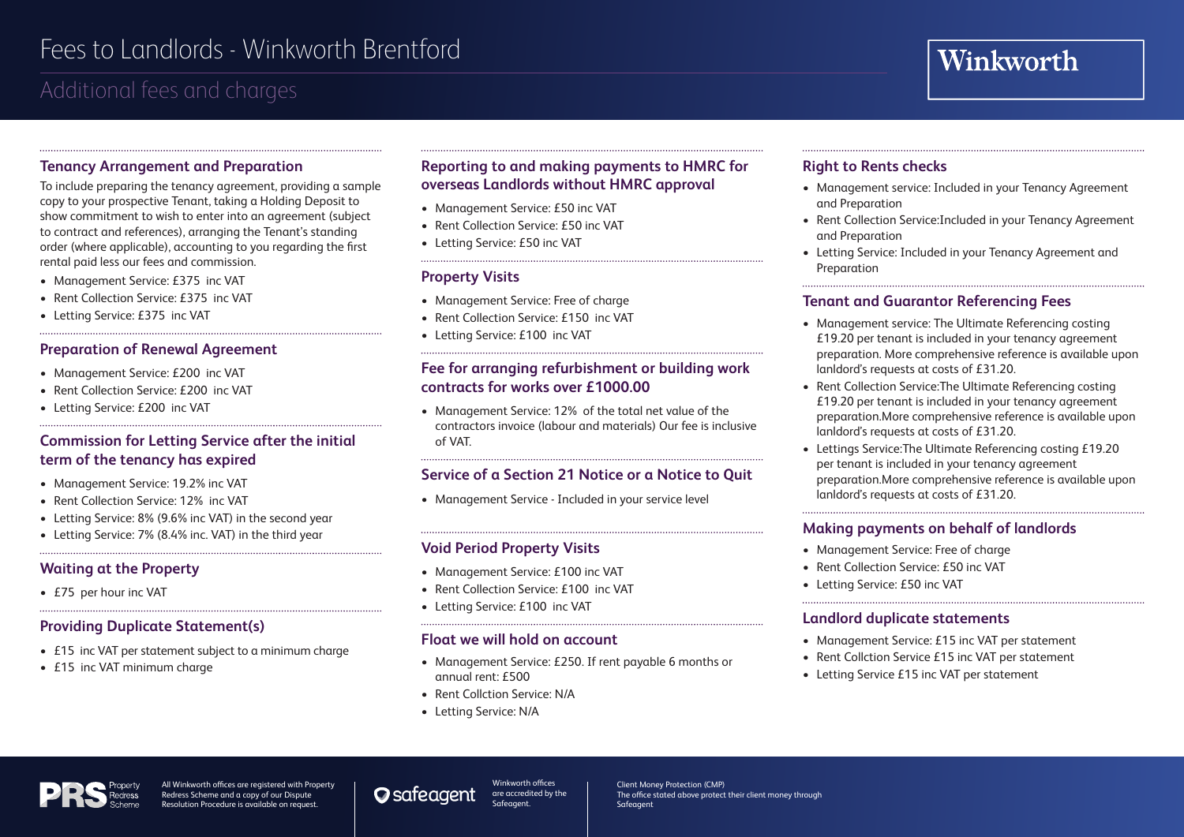## Additional fees and charges

#### **Tenancy Arrangement and Preparation**

To include preparing the tenancy agreement, providing a sample copy to your prospective Tenant, taking a Holding Deposit to show commitment to wish to enter into an agreement (subject to contract and references), arranging the Tenant's standing order (where applicable), accounting to you regarding the first rental paid less our fees and commission.

- Management Service: £375 inc VAT
- Rent Collection Service: £375 inc VAT
- Letting Service: £375 inc VAT

#### **Preparation of Renewal Agreement**

- Management Service: £200 inc VAT
- Rent Collection Service: £200 inc VAT
- Letting Service: £200 inc VAT

#### **Commission for Letting Service after the initial term of the tenancy has expired**

- Management Service: 19.2% inc VAT
- Rent Collection Service: 12% inc VAT
- Letting Service: 8% (9.6% inc VAT) in the second year

• Letting Service: 7% (8.4% inc. VAT) in the third year

#### **Waiting at the Property**

• £75 per hour inc VAT

#### **Providing Duplicate Statement(s)**

- £15 inc VAT per statement subject to a minimum charge
- £15 inc VAT minimum charge

#### **Reporting to and making payments to HMRC for overseas Landlords without HMRC approval**

- Management Service: £50 inc VAT
- Rent Collection Service: £50 inc VAT
- Letting Service: £50 inc VAT

#### **Property Visits**

- Management Service: Free of charge
- Rent Collection Service: £150 inc VAT
- Letting Service: £100 inc VAT

#### **Fee for arranging refurbishment or building work contracts for works over £1000.00**

• Management Service: 12% of the total net value of the contractors invoice (labour and materials) Our fee is inclusive of VAT.

#### **Service of a Section 21 Notice or a Notice to Quit**

• Management Service - Included in your service level

#### **Void Period Property Visits**

- Management Service: £100 inc VAT
- Rent Collection Service: £100 inc VAT

• Letting Service: £100 inc VAT

#### **Float we will hold on account**

- Management Service: £250. If rent payable 6 months or annual rent: £500
- Rent Collction Service: N/A

• Letting Service: N/A

#### **Right to Rents checks**

- Management service: Included in your Tenancy Agreement and Preparation
- Rent Collection Service:Included in your Tenancy Agreement and Preparation
- Letting Service: Included in your Tenancy Agreement and Preparation

#### **Tenant and Guarantor Referencing Fees**

- Management service: The Ultimate Referencing costing £19.20 per tenant is included in your tenancy agreement preparation. More comprehensive reference is available upon lanldord's requests at costs of £31.20.
- Rent Collection Service:The Ultimate Referencing costing £19.20 per tenant is included in your tenancy agreement preparation.More comprehensive reference is available upon lanldord's requests at costs of £31.20.
- Lettings Service:The Ultimate Referencing costing £19.20 per tenant is included in your tenancy agreement preparation.More comprehensive reference is available upon lanldord's requests at costs of £31.20.

#### **Making payments on behalf of landlords**

- Management Service: Free of charge
- Rent Collection Service: £50 inc VAT
- Letting Service: £50 inc VAT

#### **Landlord duplicate statements**

• Management Service: £15 inc VAT per statement

- Rent Collction Service £15 inc VAT per statement
- Letting Service £15 inc VAT per statement

All Winkworth offices are registered with Property Redress Scheme and a copy of our Dispute Resolution Procedure is available on request.

Winkworth offices **O** sateagent are accredited by the Safeagent.

Client Money Protection (CMP) The office stated above protect their client money through Safeagent

# Winkworth